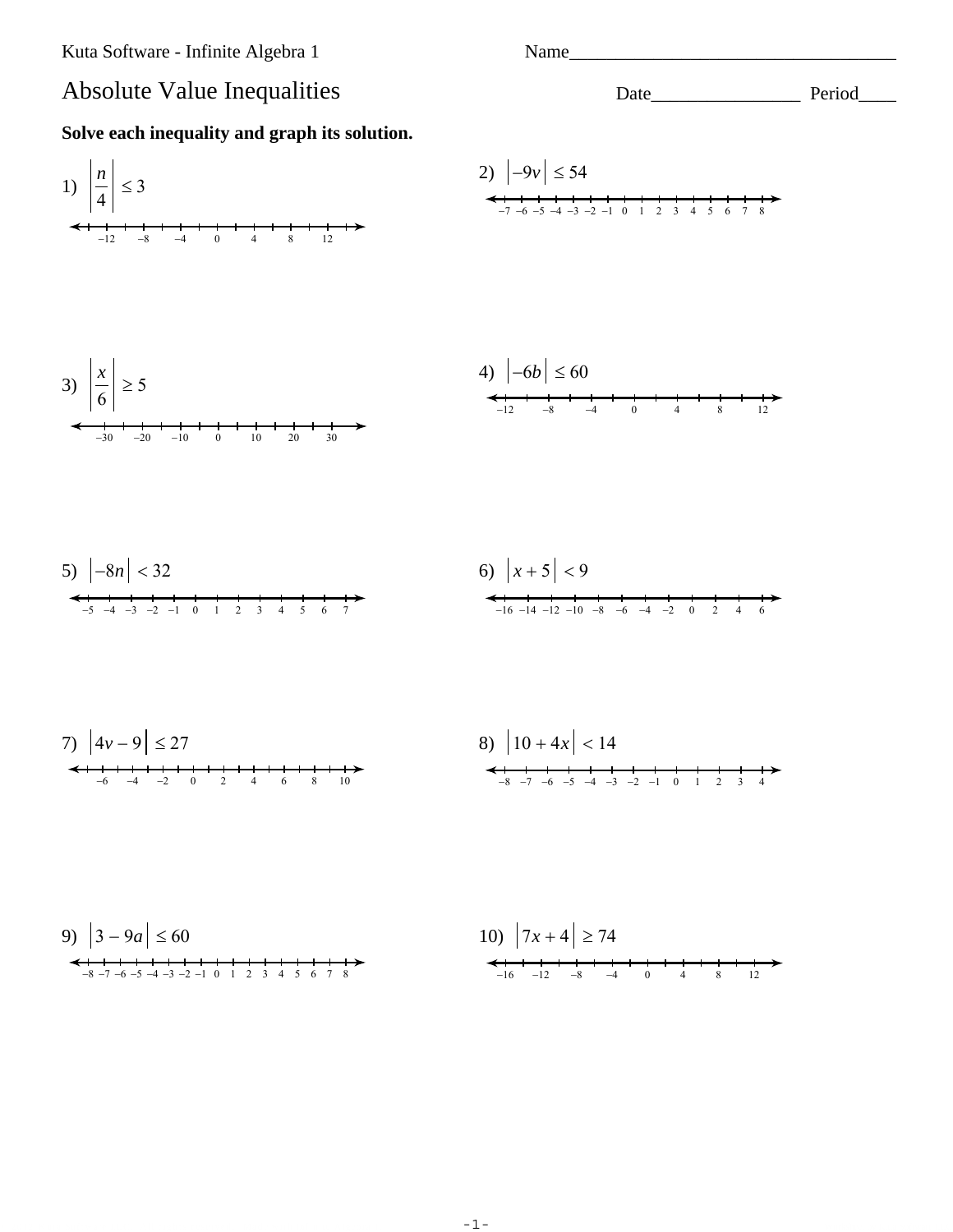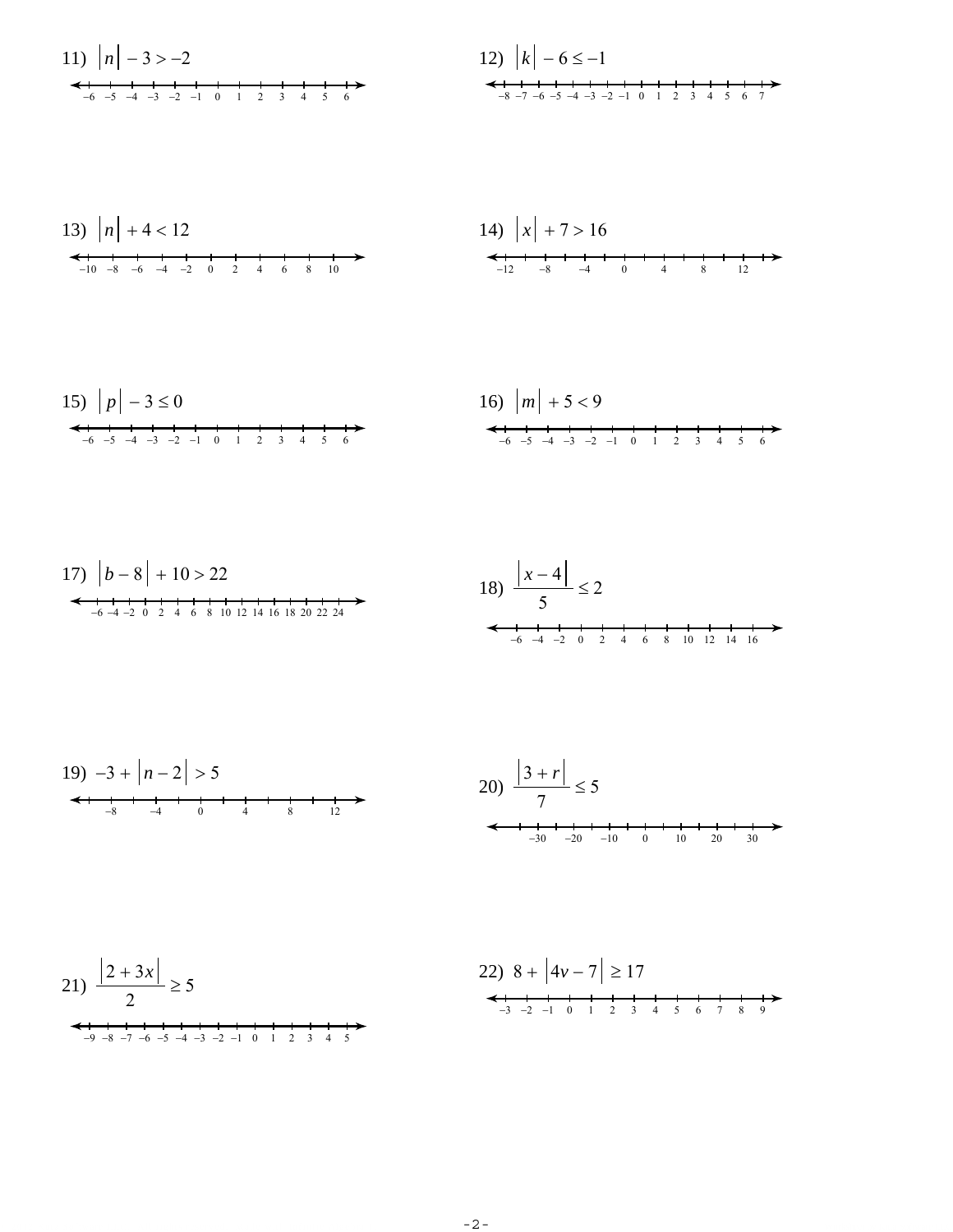11) 
$$
|n| - 3 > -2
$$
  
  
 $\leftarrow$  1  
 $-6$  -5  $-4$  -3  $-2$  -1 0 1 2 3 4 5 6

12) 
$$
|k| - 6 \le -1
$$
  
  
 $-8 - 7 - 6 - 5 - 4 - 3 - 2 -1$  0 1 2 3 4 5 6 7

13) 
$$
|n| + 4 < 12
$$
  
\n $\leftarrow$  10 -8 -6 -4 -2 0 2 4 6 8 10

14) 
$$
|x| + 7 > 16
$$
  
  
 $-12$   $-8$   $-4$   $0$   $4$   $8$   $12$ 

15) 
$$
|p|-3 \le 0
$$
  
  
 $\leftarrow$  5 -4 -3 -2 -1 0 1 2 3 4 5 6

16) 
$$
|m| + 5 < 9
$$
  
  
 $\longleftrightarrow$   $\begin{array}{ccccccc} -6 & -5 & -4 & -3 & -2 & -1 & 0 & 1 & 2 & 3 & 4 & 5 & 6 \end{array}$ 

$$
19) -3 + |n-2| > 5
$$
  
\n
$$
20) \frac{|3+r|}{7} \le 5
$$
  
\n
$$
4 + \frac{1}{9} + \frac{1}{4} + \frac{1}{8} + \frac{1}{12}
$$
  
\n
$$
3 + r|
$$
  
\n
$$
7 \le 5
$$

$$
21) \frac{|2+3x|}{2} \ge 5
$$
  

$$
22) 8 + |4v-7| \ge 17
$$
  

$$
3 \frac{1}{2} - 2 - 1 - 0 + 2 - 3 + 4 - 5 = 6 - 7 - 8 - 9
$$
  

$$
3 \frac{1}{2} - 3 - 2 - 1 - 0 + 2 - 3 + 4 - 5 = 6 - 7 - 8 - 9
$$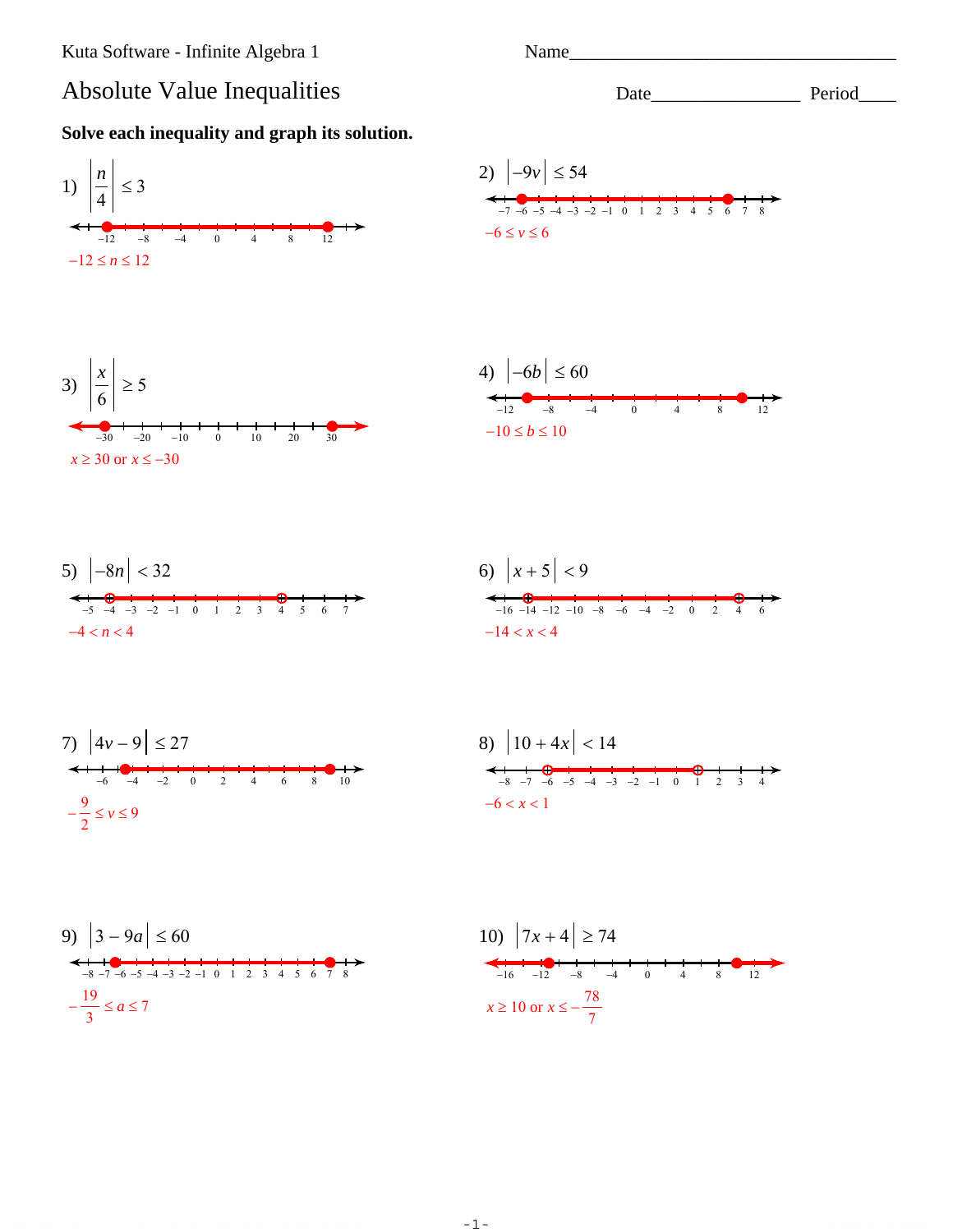## **Absolute Value Inequalities**



Name\_

Date Period